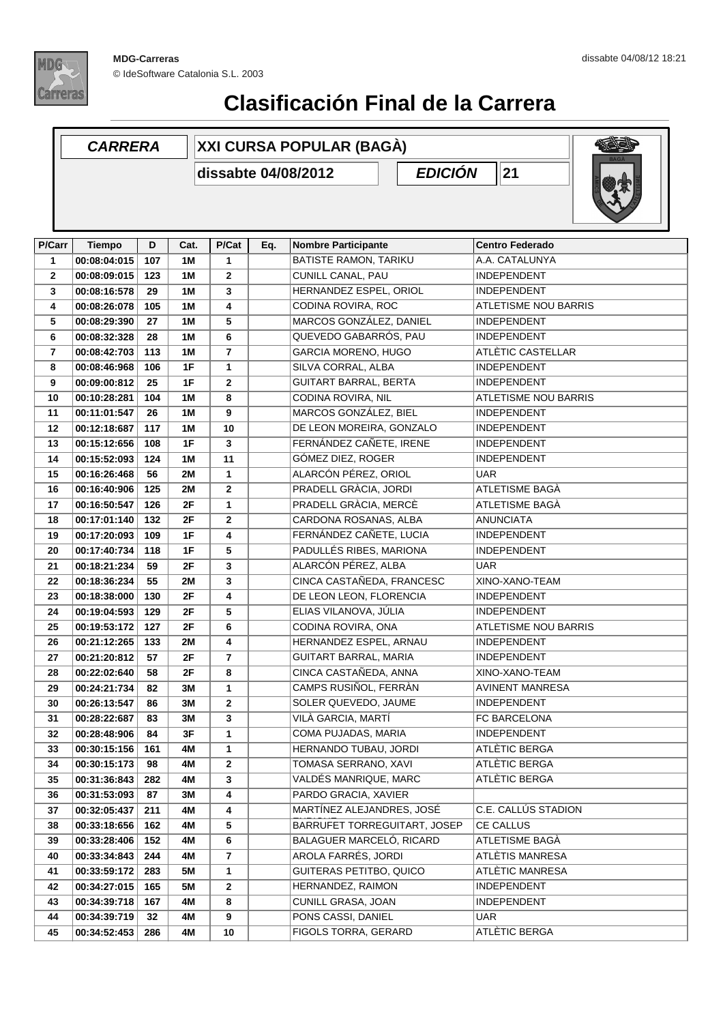

## **Clasificación Final de la Carrera**

## **D Cat. P/Cat Eq. Nombre Participante Centro Federado CARRERA XXI CURSA POPULAR (BAGÀ) dissabte 04/08/2012 P/Carr Tiempo EDICIÓN** 21 **P/Cat 00:08:04:015 107 1M 1** BATISTE RAMON, TARIKU A.A. CATALUNYA **00:08:09:015 123 1M 2** CUNILL CANAL, PAU INDEPENDENT **00:08:16:578 29 1M 3** HERNANDEZ ESPEL, ORIOL INDEPENDENT **00:08:26:078 105 1M 4** CODINA ROVIRA, ROC ATLETISME NOU BARRIS **00:08:29:390 27 1M 5** MARCOS GONZÁLEZ, DANIEL INDEPENDENT **00:08:32:328 28 1M 6** QUEVEDO GABARRÓS, PAU INDEPENDENT **00:08:42:703 113 1M 7** GARCIA MORENO, HUGO ATLÈTIC CASTELLAR **00:08:46:968 106 1F 1** SILVA CORRAL, ALBA INDEPENDENT **00:09:00:812 25 1F 2** GUITART BARRAL, BERTA INDEPENDENT **00:10:28:281 104 1M 8** CODINA ROVIRA, NIL ATLETISME NOU BARRIS **00:11:01:547 26 1M 9** MARCOS GONZÁLEZ, BIEL INDEPENDENT **00:12:18:687 117 1M 10** DE LEON MOREIRA, GONZALO INDEPENDENT **00:15:12:656 108 1F 3** FERNÁNDEZ CAÑETE, IRENE INDEPENDENT **00:15:52:093 124 1M 11** GÓMEZ DIEZ, ROGER INDEPENDENT **00:16:26:468 56 2M 1** ALARCÓN PÉREZ, ORIOL UAR **00:16:40:906 125 2M 2** PRADELL GRÀCIA, JORDI ATLETISME BAGÀ **00:16:50:547 126 2F 1** PRADELL GRÀCIA, MERCÈ ATLETISME BAGÀ **00:17:01:140 132 2F 2** CARDONA ROSANAS, ALBA ANUNCIATA **00:17:20:093 109 1F 4** FERNÁNDEZ CAÑETE, LUCIA INDEPENDENT **00:17:40:734 118 1F 5** PADULLÉS RIBES, MARIONA INDEPENDENT **00:18:21:234 59 2F 3** ALARCÓN PÉREZ, ALBA UAR **00:18:36:234 55 2M 3** CINCA CASTAÑEDA, FRANCESC XINO-XANO-TEAM **00:18:38:000 130 2F 4** DE LEON LEON, FLORENCIA INDEPENDENT **00:19:04:593 129 2F 5** ELIAS VILANOVA, JÚLIA INDEPENDENT **00:19:53:172 127 2F 6** CODINA ROVIRA, ONA ATLETISME NOU BARRIS **00:21:12:265 133 2M 4** HERNANDEZ ESPEL, ARNAU INDEPENDENT **00:21:20:812 57 2F 7** GUITART BARRAL, MARIA INDEPENDENT **00:22:02:640 58 2F 8** CINCA CASTAÑEDA, ANNA XINO-XANO-TEAM **00:24:21:734 82 3M 1** CAMPS RUSIÑOL, FERRÀN AVINENT MANRESA **00:26:13:547 86 3M 2** SOLER QUEVEDO, JAUME INDEPENDENT **00:28:22:687 83 3M 3** VILÀ GARCIA, MARTÍ FC BARCELONA **00:28:48:906 84 3F 1** COMA PUJADAS, MARIA INDEPENDENT **00:30:15:156 161 4M 1** HERNANDO TUBAU, JORDI ATLÈTIC BERGA **00:30:15:173 98 4M 2** TOMASA SERRANO, XAVI ATLÈTIC BERGA **00:31:36:843 282 4M 3** VALDÉS MANRIQUE, MARC ATLÈTIC BERGA **00:31:53:093 87 3M 4** PARDO GRACIA, XAVIER **211** MARTÍNEZ ALEJANDRES, JOSÉ **00:32:05:437 4M 4** C.E. CALLÚS STADION ENRIQUE **00:33:18:656 162 4M 5** BARRUFET TORREGUITART, JOSEP CE CALLUS **00:33:28:406 152 4M 6** BALAGUER MARCELÓ, RICARD ATLETISME BAGÀ **00:33:34:843 244 4M 7** AROLA FARRÉS, JORDI ATLÈTIS MANRESA **00:33:59:172 283 5M 1** GUITERAS PETITBO, QUICO ATLÈTIC MANRESA **00:34:27:015 165 5M 2** HERNANDEZ, RAIMON INDEPENDENT **00:34:39:718 167 4M 8** CUNILL GRASA, JOAN INDEPENDENT **00:34:39:719 32 4M 9** PONS CASSI, DANIEL UAR **00:34:52:453 286 4M 10** FIGOLS TORRA, GERARD ATLÈTIC BERGA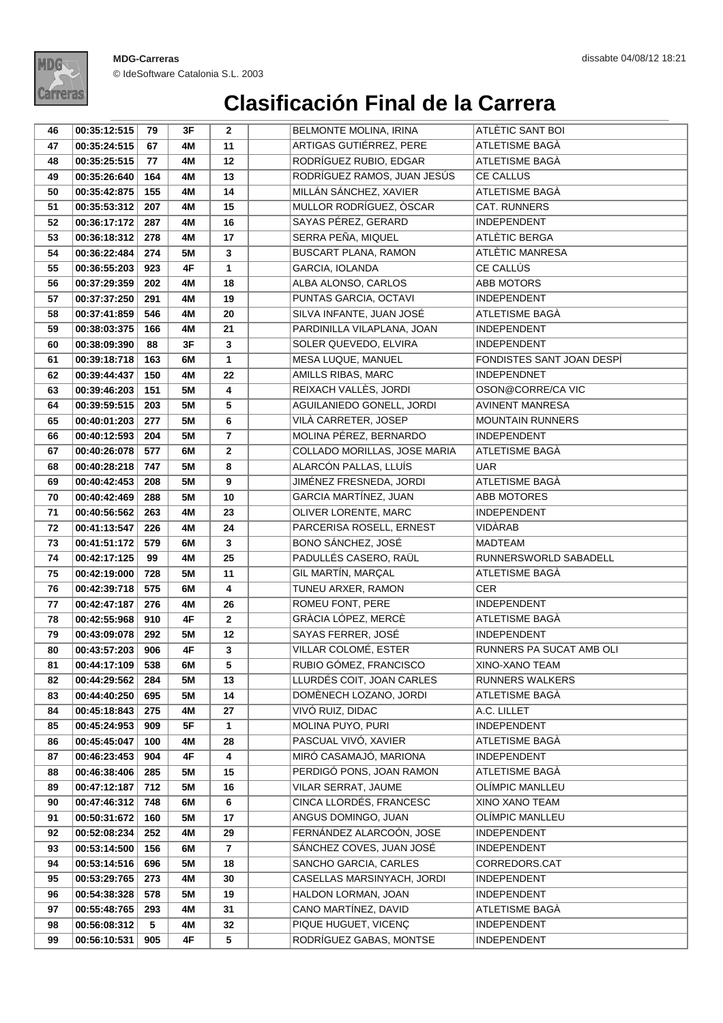

## **Clasificación Final de la Carrera**

| 46       | 00:35:12:515                 | 79         | 3F              | $\mathbf{2}$         | <b>BELMONTE MOLINA, IRINA</b>                  | ATLÈTIC SANT BOI                      |
|----------|------------------------------|------------|-----------------|----------------------|------------------------------------------------|---------------------------------------|
| 47       | 00:35:24:515                 | 67         | 4M              | 11                   | ARTIGAS GUTIÉRREZ, PERE                        | ATLETISME BAGÀ                        |
| 48       | 00:35:25:515                 | 77         | 4M              | 12                   | RODRÍGUEZ RUBIO, EDGAR                         | ATLETISME BAGÀ                        |
| 49       | 00:35:26:640                 | 164        | 4M              | 13                   | RODRÍGUEZ RAMOS, JUAN JESÚS                    | <b>CE CALLUS</b>                      |
| 50       | 00:35:42:875                 | 155        | 4M              | 14                   | MILLÁN SÁNCHEZ, XAVIER                         | ATLETISME BAGÀ                        |
| 51       | 00:35:53:312                 | 207        | 4M              | 15                   | MULLOR RODRÍGUEZ, ÒSCAR                        | CAT. RUNNERS                          |
| 52       | 00:36:17:172                 | 287        | 4M              | 16                   | SAYAS PÉREZ, GERARD                            | <b>INDEPENDENT</b>                    |
| 53       | 00:36:18:312                 | 278        | 4M              | 17                   | SERRA PEÑA, MIQUEL                             | ATLÈTIC BERGA                         |
| 54       | 00:36:22:484                 | 274        | 5M              | $\mathbf{3}$         | <b>BUSCART PLANA, RAMON</b>                    | ATLÈTIC MANRESA                       |
| 55       | 00:36:55:203                 | 923        | 4F              | 1                    | GARCIA, IOLANDA                                | CE CALLÚS                             |
| 56       | 00:37:29:359                 | 202        | 4M              | 18                   | ALBA ALONSO, CARLOS                            | ABB MOTORS                            |
| 57       | 00:37:37:250                 | 291        | 4M              | 19                   | PUNTAS GARCIA, OCTAVI                          | <b>INDEPENDENT</b>                    |
| 58       | 00:37:41:859                 | 546        | 4M              | 20                   | SILVA INFANTE, JUAN JOSÉ                       | ATLETISME BAGÀ                        |
| 59       | 00:38:03:375                 | 166        | 4M              | 21                   | PARDINILLA VILAPLANA, JOAN                     | <b>INDEPENDENT</b>                    |
| 60       | 00:38:09:390                 | 88         | 3F              | $\mathbf{3}$         | SOLER QUEVEDO, ELVIRA                          | <b>INDEPENDENT</b>                    |
| 61       | 00:39:18:718                 | 163        | 6M              | $\mathbf{1}$         | MESA LUQUE, MANUEL                             | FONDISTES SANT JOAN DESPÍ             |
| 62       | 00:39:44:437                 | 150        | 4M              | 22                   | AMILLS RIBAS, MARC                             | <b>INDEPENDNET</b>                    |
| 63       | 00:39:46:203                 | 151        | <b>5M</b>       | 4                    | REIXACH VALLÈS, JORDI                          | OSON@CORRE/CA VIC                     |
| 64       | 00:39:59:515                 | 203        | 5M              | 5                    | AGUILANIEDO GONELL, JORDI                      | <b>AVINENT MANRESA</b>                |
| 65       | 00:40:01:203                 | 277        | 5M              | 6                    | VILÀ CARRETER, JOSEP                           | <b>MOUNTAIN RUNNERS</b>               |
| 66       | 00:40:12:593                 | 204        | <b>5M</b>       | $\overline{7}$       | MOLINA PÉREZ, BERNARDO                         | <b>INDEPENDENT</b>                    |
| 67       | 00:40:26:078                 | 577        | 6M              | $\overline{2}$       | COLLADO MORILLAS, JOSE MARIA                   | ATLETISME BAGÀ                        |
| 68       | 00:40:28:218                 | 747        | <b>5M</b>       | 8                    | ALARCÓN PALLAS, LLUÍS                          | UAR                                   |
| 69       | 00:40:42:453                 | 208        | <b>5M</b>       | 9                    | JIMÉNEZ FRESNEDA, JORDI                        | ATLETISME BAGÀ                        |
| 70       | 00:40:42:469                 | 288        | <b>5M</b>       | 10                   | GARCIA MARTÍNEZ, JUAN                          | ABB MOTORES                           |
| 71       | 00:40:56:562                 | 263        | 4M              | 23                   | OLIVER LORENTE, MARC                           | <b>INDEPENDENT</b>                    |
| 72       | 00:41:13:547                 | 226        | 4M              | 24                   | PARCERISA ROSELL, ERNEST                       | VIDÀRAB                               |
| 73       | 00:41:51:172                 | 579        | 6M              | 3                    | BONO SÁNCHEZ, JOSÉ                             | <b>MADTEAM</b>                        |
| 74       | 00:42:17:125                 | 99         | 4M              | 25                   | PADULLÉS CASERO, RAÜL                          | RUNNERSWORLD SABADELL                 |
| 75       | 00:42:19:000                 | 728        | <b>5M</b>       | 11                   | GIL MARTÍN, MARÇAL                             | ATLETISME BAGÀ                        |
| 76       | 00:42:39:718                 | 575        | 6M              | 4                    | TUNEU ARXER, RAMON                             | <b>CER</b>                            |
| 77       | 00:42:47:187                 | 276        | 4M              | 26                   | ROMEU FONT, PERE                               | <b>INDEPENDENT</b>                    |
| 78       | 00:42:55:968                 | 910        | 4F              | $\mathbf{2}$         | GRÀCIA LÓPEZ, MERCÈ                            | ATLETISME BAGÀ                        |
| 79       | 00:43:09:078                 | 292        | <b>5M</b>       | 12                   | SAYAS FERRER, JOSÉ                             | INDEPENDENT                           |
| 80       | 00:43:57:203                 | 906        | 4F              | 3                    | <b>VILLAR COLOMÉ, ESTER</b>                    | RUNNERS PA SUCAT AMB OLI              |
| 81       | 00:44:17:109 538             |            | 6M              | 5                    | RUBIO GÓMEZ, FRANCISCO                         | XINO-XANO TEAM                        |
| 82       | 00:44:29:562                 | 284        | <b>5M</b>       | 13                   | LLURDÉS COIT, JOAN CARLES                      | RUNNERS WALKERS                       |
| 83       | 00:44:40:250                 | 695        | <b>5M</b>       | 14                   | DOMÈNECH LOZANO, JORDI                         | ATLETISME BAGÀ                        |
| 84       | 00:45:18:843                 | 275        | 4M              | 27                   | VIVÓ RUIZ, DIDAC                               | A.C. LILLET                           |
| 85       | 00:45:24:953                 | 909        | 5F              | 1                    | MOLINA PUYO, PURI                              | <b>INDEPENDENT</b>                    |
| 86       | 00:45:45:047                 | 100        | 4M              | 28                   | PASCUAL VIVÓ, XAVIER                           | ATLETISME BAGÀ                        |
| 87       | 00:46:23:453                 | 904        | 4F              | 4                    | MIRÓ CASAMAJÓ, MARIONA                         | <b>INDEPENDENT</b>                    |
| 88       | 00:46:38:406                 | 285        | <b>5M</b>       | 15                   | PERDIGÓ PONS, JOAN RAMON                       | ATLETISME BAGÀ                        |
| 89       | 00:47:12:187                 | 712        | <b>5M</b>       | 16                   | VILAR SERRAT, JAUME<br>CINCA LLORDÉS, FRANCESC | OLÍMPIC MANLLEU                       |
| 90       | 00:47:46:312                 | 748        | 6M              | 6                    | ANGUS DOMINGO, JUAN                            | XINO XANO TEAM                        |
| 91       | 00:50:31:672                 | 160<br>252 | <b>5M</b>       | 17                   | FERNÁNDEZ ALARCOÓN, JOSE                       | OLÍMPIC MANLLEU<br><b>INDEPENDENT</b> |
| 92       | 00:52:08:234                 |            | 4M              | 29                   | SÁNCHEZ COVES, JUAN JOSÉ                       |                                       |
| 93<br>94 | 00:53:14:500<br>00:53:14:516 | 156<br>696 | 6M<br><b>5M</b> | $\overline{7}$<br>18 | SANCHO GARCIA, CARLES                          | <b>INDEPENDENT</b><br>CORREDORS.CAT   |
| 95       | 00:53:29:765                 | 273        | 4M              | 30                   | CASELLAS MARSINYACH, JORDI                     | <b>INDEPENDENT</b>                    |
| 96       | 00:54:38:328                 | 578        | <b>5M</b>       | 19                   | HALDON LORMAN, JOAN                            | <b>INDEPENDENT</b>                    |
| 97       | 00:55:48:765                 | 293        | 4M              | 31                   | CANO MARTÍNEZ, DAVID                           | ATLETISME BAGÀ                        |
| 98       | 00:56:08:312                 | 5          | 4M              | 32                   | PIQUE HUGUET, VICENÇ                           | <b>INDEPENDENT</b>                    |
|          |                              |            |                 |                      |                                                |                                       |
| 99       | 00:56:10:531                 | 905        | 4F              | 5                    | RODRÍGUEZ GABAS, MONTSE                        | <b>INDEPENDENT</b>                    |